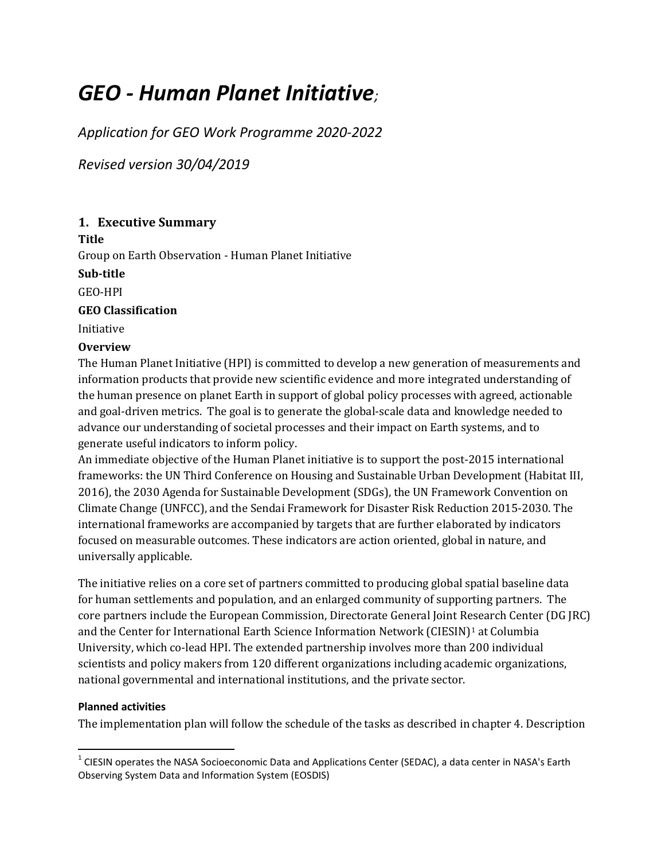# *GEO - Human Planet Initiative;*

*Application for GEO Work Programme 2020-2022* 

*Revised version 30/04/2019*

# **1. Executive Summary**

**Title**

Group on Earth Observation - Human Planet Initiative

**Sub-title**

GEO-HPI

#### **GEO Classification**

Initiative

#### **Overview**

The Human Planet Initiative (HPI) is committed to develop a new generation of measurements and information products that provide new scientific evidence and more integrated understanding of the human presence on planet Earth in support of global policy processes with agreed, actionable and goal-driven metrics. The goal is to generate the global-scale data and knowledge needed to advance our understanding of societal processes and their impact on Earth systems, and to generate useful indicators to inform policy.

An immediate objective of the Human Planet initiative is to support the post-2015 international frameworks: the UN Third Conference on Housing and Sustainable Urban Development (Habitat III, 2016), the 2030 Agenda for Sustainable Development (SDGs), the UN Framework Convention on Climate Change (UNFCC), and the Sendai Framework for Disaster Risk Reduction 2015-2030. The international frameworks are accompanied by targets that are further elaborated by indicators focused on measurable outcomes. These indicators are action oriented, global in nature, and universally applicable.

The initiative relies on a core set of partners committed to producing global spatial baseline data for human settlements and population, and an enlarged community of supporting partners. The core partners include the European Commission, Directorate General Joint Research Center (DG JRC) and the Center for International Earth Science Information Network (CIESIN)<sup>[1](#page-0-0)</sup> at Columbia University, which co-lead HPI. The extended partnership involves more than 200 individual scientists and policy makers from 120 different organizations including academic organizations, national governmental and international institutions, and the private sector.

#### **Planned activities**

The implementation plan will follow the schedule of the tasks as described in chapter 4. Description

<span id="page-0-0"></span><sup>&</sup>lt;sup>1</sup> CIESIN operates the NASA Socioeconomic Data and Applications Center (SEDAC), a data center in NASA's Earth Observing System Data and Information System (EOSDIS)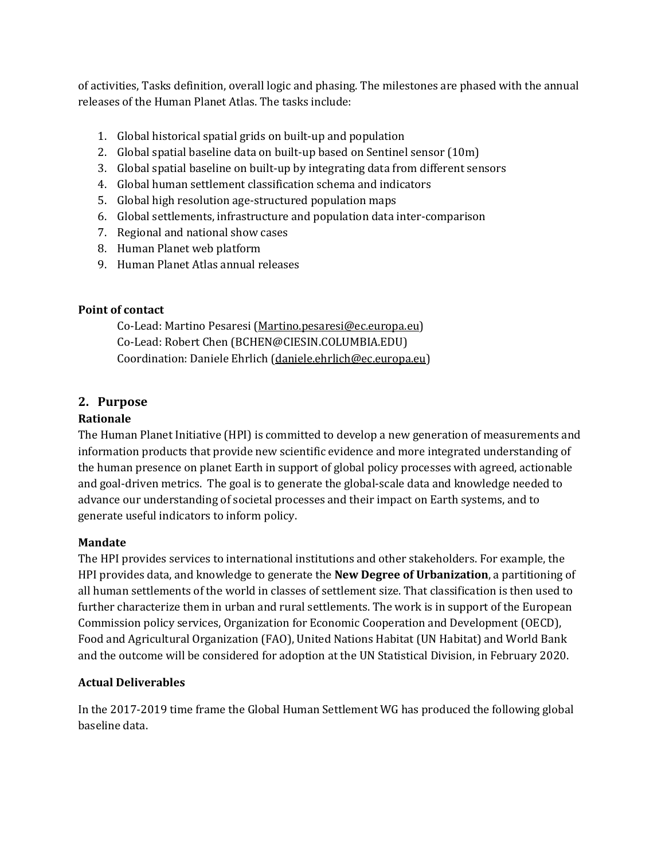of activities, Tasks definition, overall logic and phasing. The milestones are phased with the annual releases of the Human Planet Atlas. The tasks include:

- 1. Global historical spatial grids on built-up and population
- 2. Global spatial baseline data on built-up based on Sentinel sensor (10m)
- 3. Global spatial baseline on built-up by integrating data from different sensors
- 4. Global human settlement classification schema and indicators
- 5. Global high resolution age-structured population maps
- 6. Global settlements, infrastructure and population data inter-comparison
- 7. Regional and national show cases
- 8. Human Planet web platform
- 9. Human Planet Atlas annual releases

# **Point of contact**

Co-Lead: Martino Pesaresi [\(Martino.pesaresi@ec.europa.eu\)](mailto:Martino.pesaresi@ec.europa.eu) Co-Lead: Robert Chen (BCHEN@CIESIN.COLUMBIA.EDU) Coordination: Daniele Ehrlich [\(daniele.ehrlich@ec.europa.eu\)](mailto:daniele.ehrlich@ec.europa.eu)

# **2. Purpose**

# **Rationale**

The Human Planet Initiative (HPI) is committed to develop a new generation of measurements and information products that provide new scientific evidence and more integrated understanding of the human presence on planet Earth in support of global policy processes with agreed, actionable and goal-driven metrics. The goal is to generate the global-scale data and knowledge needed to advance our understanding of societal processes and their impact on Earth systems, and to generate useful indicators to inform policy.

# **Mandate**

The HPI provides services to international institutions and other stakeholders. For example, the HPI provides data, and knowledge to generate the **New Degree of Urbanization**, a partitioning of all human settlements of the world in classes of settlement size. That classification is then used to further characterize them in urban and rural settlements. The work is in support of the European Commission policy services, Organization for Economic Cooperation and Development (OECD), Food and Agricultural Organization (FAO), United Nations Habitat (UN Habitat) and World Bank and the outcome will be considered for adoption at the UN Statistical Division, in February 2020.

# **Actual Deliverables**

In the 2017-2019 time frame the Global Human Settlement WG has produced the following global baseline data.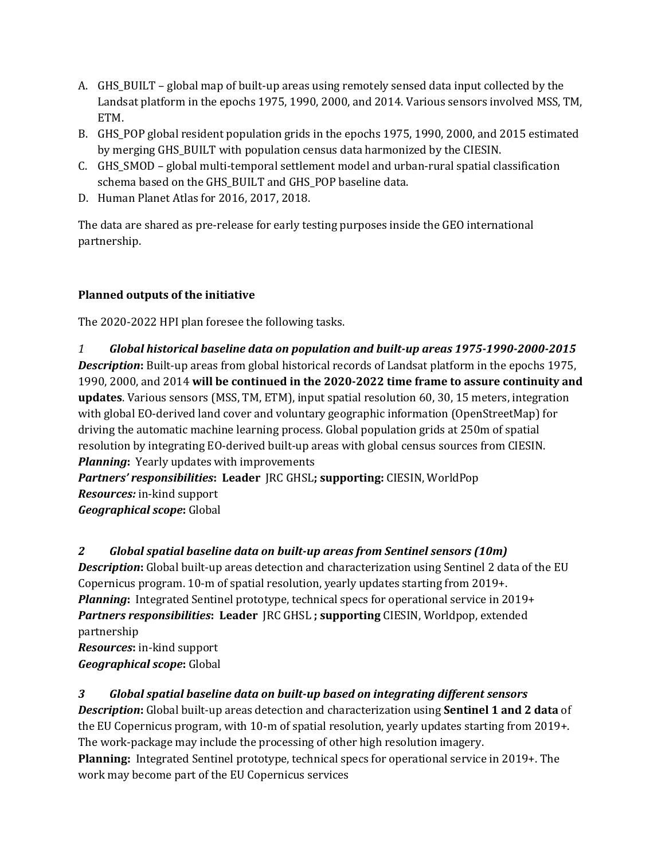- A. GHS BUILT global map of built-up areas using remotely sensed data input collected by the Landsat platform in the epochs 1975, 1990, 2000, and 2014. Various sensors involved MSS, TM, ETM.
- B. GHS\_POP global resident population grids in the epochs 1975, 1990, 2000, and 2015 estimated by merging GHS\_BUILT with population census data harmonized by the CIESIN.
- C. GHS\_SMOD global multi-temporal settlement model and urban-rural spatial classification schema based on the GHS\_BUILT and GHS\_POP baseline data.
- D. Human Planet Atlas for 2016, 2017, 2018.

The data are shared as pre-release for early testing purposes inside the GEO international partnership.

# **Planned outputs of the initiative**

The 2020-2022 HPI plan foresee the following tasks.

*1 Global historical baseline data on population and built-up areas 1975-1990-2000-2015* **Description:** Built-up areas from global historical records of Landsat platform in the epochs 1975, 1990, 2000, and 2014 **will be continued in the 2020-2022 time frame to assure continuity and updates**. Various sensors (MSS, TM, ETM), input spatial resolution 60, 30, 15 meters, integration with global EO-derived land cover and voluntary geographic information (OpenStreetMap) for driving the automatic machine learning process. Global population grids at 250m of spatial resolution by integrating EO-derived built-up areas with global census sources from CIESIN. *Planning***:** Yearly updates with improvements

*Partners' responsibilities***: Leader** JRC GHSL**; supporting:** CIESIN, WorldPop *Resources:* in-kind support *Geographical scope***:** Global

# *2 Global spatial baseline data on built-up areas from Sentinel sensors (10m)*

*Description***:** Global built-up areas detection and characterization using Sentinel 2 data of the EU Copernicus program. 10-m of spatial resolution, yearly updates starting from 2019+. *Planning***:** Integrated Sentinel prototype, technical specs for operational service in 2019+ *Partners responsibilities***: Leader** JRC GHSL **; supporting** CIESIN, Worldpop, extended partnership

*Resources***:** in-kind support *Geographical scope***:** Global

# *3 Global spatial baseline data on built-up based on integrating different sensors*

*Description***:** Global built-up areas detection and characterization using **Sentinel 1 and 2 data** of the EU Copernicus program, with 10-m of spatial resolution, yearly updates starting from 2019+. The work-package may include the processing of other high resolution imagery.

**Planning:** Integrated Sentinel prototype, technical specs for operational service in 2019+. The work may become part of the EU Copernicus services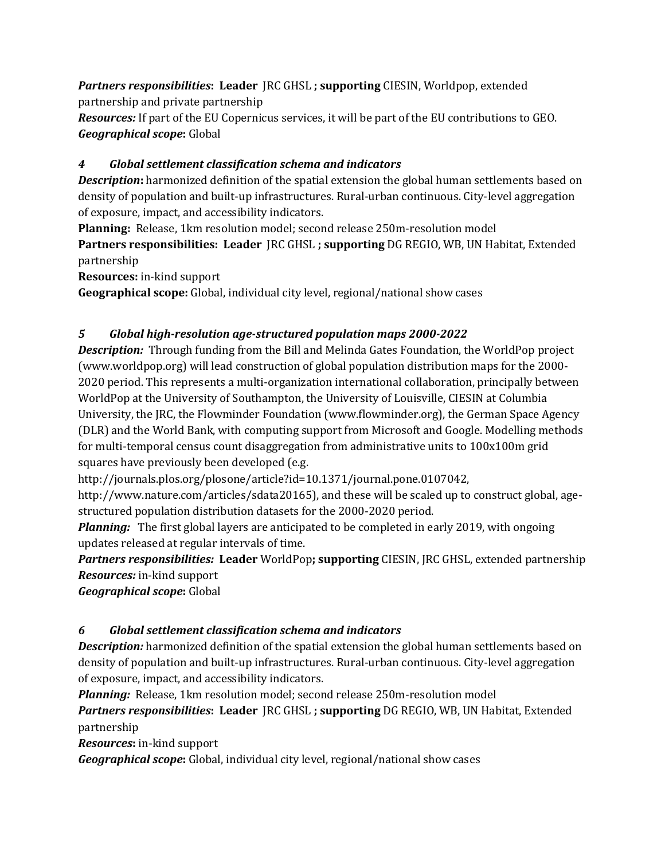*Partners responsibilities***: Leader** JRC GHSL **; supporting** CIESIN, Worldpop, extended partnership and private partnership

*Resources:* If part of the EU Copernicus services, it will be part of the EU contributions to GEO. *Geographical scope***:** Global

# *4 Global settlement classification schema and indicators*

**Description:** harmonized definition of the spatial extension the global human settlements based on density of population and built-up infrastructures. Rural-urban continuous. City-level aggregation of exposure, impact, and accessibility indicators.

**Planning:** Release, 1km resolution model; second release 250m-resolution model

**Partners responsibilities: Leader** JRC GHSL **; supporting** DG REGIO, WB, UN Habitat, Extended partnership

**Resources:** in-kind support

**Geographical scope:** Global, individual city level, regional/national show cases

# *5 Global high-resolution age-structured population maps 2000-2022*

*Description:* Through funding from the Bill and Melinda Gates Foundation, the WorldPop project (www.worldpop.org) will lead construction of global population distribution maps for the 2000- 2020 period. This represents a multi-organization international collaboration, principally between WorldPop at the University of Southampton, the University of Louisville, CIESIN at Columbia University, the JRC, the Flowminder Foundation (www.flowminder.org), the German Space Agency (DLR) and the World Bank, with computing support from Microsoft and Google. Modelling methods for multi-temporal census count disaggregation from administrative units to 100x100m grid squares have previously been developed (e.g.

http://journals.plos.org/plosone/article?id=10.1371/journal.pone.0107042,

http://www.nature.com/articles/sdata20165), and these will be scaled up to construct global, agestructured population distribution datasets for the 2000-2020 period.

*Planning:*The first global layers are anticipated to be completed in early 2019, with ongoing updates released at regular intervals of time.

*Partners responsibilities:* **Leader** WorldPop**; supporting** CIESIN, JRC GHSL, extended partnership *Resources:* in-kind support

*Geographical scope***:** Global

# *6 Global settlement classification schema and indicators*

**Description:** harmonized definition of the spatial extension the global human settlements based on density of population and built-up infrastructures. Rural-urban continuous. City-level aggregation of exposure, impact, and accessibility indicators.

*Planning:*Release, 1km resolution model; second release 250m-resolution model

*Partners responsibilities***: Leader** JRC GHSL **; supporting** DG REGIO, WB, UN Habitat, Extended partnership

*Resources***:** in-kind support

*Geographical scope***:** Global, individual city level, regional/national show cases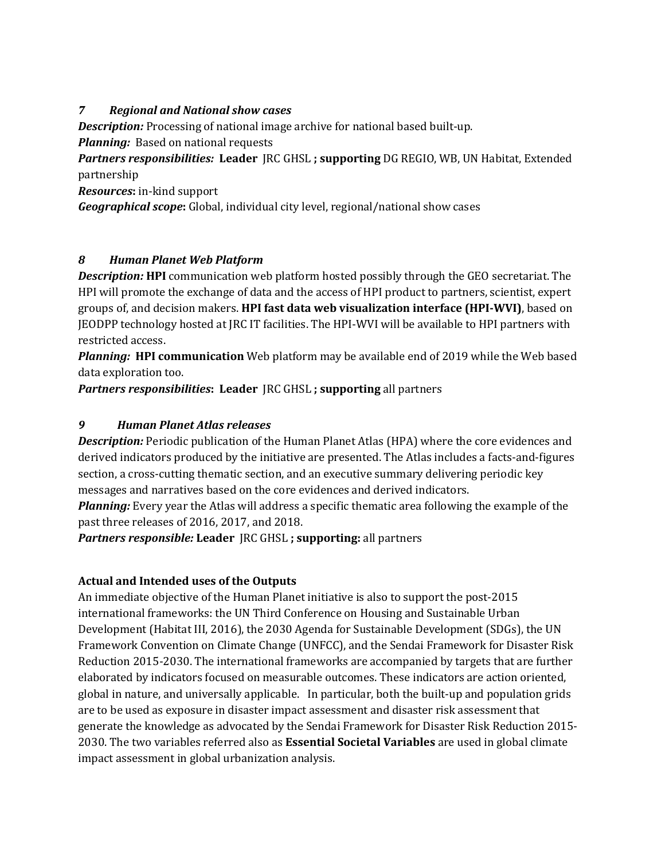## *7 Regional and National show cases*

*Description:* Processing of national image archive for national based built-up.

*Planning:* Based on national requests

*Partners responsibilities:* **Leader** JRC GHSL **; supporting** DG REGIO, WB, UN Habitat, Extended partnership

*Resources***:** in-kind support

*Geographical scope***:** Global, individual city level, regional/national show cases

# *8 Human Planet Web Platform*

*Description:* **HPI** communication web platform hosted possibly through the GEO secretariat. The HPI will promote the exchange of data and the access of HPI product to partners, scientist, expert groups of, and decision makers. **HPI fast data web visualization interface (HPI-WVI)**, based on JEODPP technology hosted at JRC IT facilities. The HPI-WVI will be available to HPI partners with restricted access.

*Planning:* **HPI communication** Web platform may be available end of 2019 while the Web based data exploration too.

*Partners responsibilities***: Leader** JRC GHSL **; supporting** all partners

## *9 Human Planet Atlas releases*

*Description:* Periodic publication of the Human Planet Atlas (HPA) where the core evidences and derived indicators produced by the initiative are presented. The Atlas includes a facts-and-figures section, a cross-cutting thematic section, and an executive summary delivering periodic key messages and narratives based on the core evidences and derived indicators.

*Planning:* Every year the Atlas will address a specific thematic area following the example of the past three releases of 2016, 2017, and 2018.

*Partners responsible:* **Leader** JRC GHSL **; supporting:** all partners

# **Actual and Intended uses of the Outputs**

An immediate objective of the Human Planet initiative is also to support the post-2015 international frameworks: the UN Third Conference on Housing and Sustainable Urban Development (Habitat III, 2016), the 2030 Agenda for Sustainable Development (SDGs), the UN Framework Convention on Climate Change (UNFCC), and the Sendai Framework for Disaster Risk Reduction 2015-2030. The international frameworks are accompanied by targets that are further elaborated by indicators focused on measurable outcomes. These indicators are action oriented, global in nature, and universally applicable. In particular, both the built-up and population grids are to be used as exposure in disaster impact assessment and disaster risk assessment that generate the knowledge as advocated by the Sendai Framework for Disaster Risk Reduction 2015- 2030. The two variables referred also as **Essential Societal Variables** are used in global climate impact assessment in global urbanization analysis.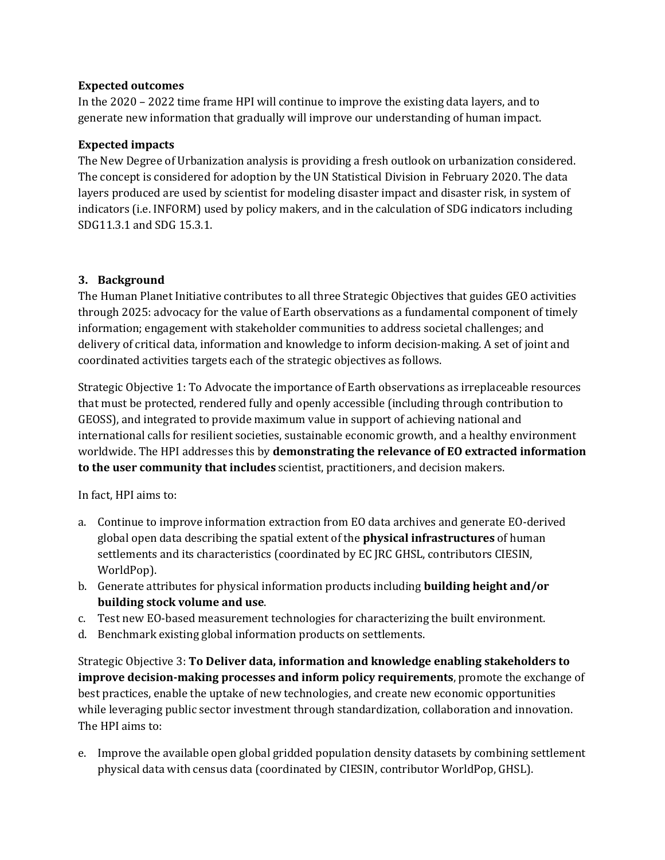#### **Expected outcomes**

In the 2020 – 2022 time frame HPI will continue to improve the existing data layers, and to generate new information that gradually will improve our understanding of human impact.

## **Expected impacts**

The New Degree of Urbanization analysis is providing a fresh outlook on urbanization considered. The concept is considered for adoption by the UN Statistical Division in February 2020. The data layers produced are used by scientist for modeling disaster impact and disaster risk, in system of indicators (i.e. INFORM) used by policy makers, and in the calculation of SDG indicators including SDG11.3.1 and SDG 15.3.1.

## **3. Background**

The Human Planet Initiative contributes to all three Strategic Objectives that guides GEO activities through 2025: advocacy for the value of Earth observations as a fundamental component of timely information; engagement with stakeholder communities to address societal challenges; and delivery of critical data, information and knowledge to inform decision-making. A set of joint and coordinated activities targets each of the strategic objectives as follows.

Strategic Objective 1: To Advocate the importance of Earth observations as irreplaceable resources that must be protected, rendered fully and openly accessible (including through contribution to GEOSS), and integrated to provide maximum value in support of achieving national and international calls for resilient societies, sustainable economic growth, and a healthy environment worldwide. The HPI addresses this by **demonstrating the relevance of EO extracted information to the user community that includes** scientist, practitioners, and decision makers.

In fact, HPI aims to:

- a. Continue to improve information extraction from EO data archives and generate EO-derived global open data describing the spatial extent of the **physical infrastructures** of human settlements and its characteristics (coordinated by EC JRC GHSL, contributors CIESIN, WorldPop).
- b. Generate attributes for physical information products including **building height and/or building stock volume and use**.
- c. Test new EO-based measurement technologies for characterizing the built environment.
- d. Benchmark existing global information products on settlements.

Strategic Objective 3: **To Deliver data, information and knowledge enabling stakeholders to improve decision-making processes and inform policy requirements**, promote the exchange of best practices, enable the uptake of new technologies, and create new economic opportunities while leveraging public sector investment through standardization, collaboration and innovation. The HPI aims to:

e. Improve the available open global gridded population density datasets by combining settlement physical data with census data (coordinated by CIESIN, contributor WorldPop, GHSL).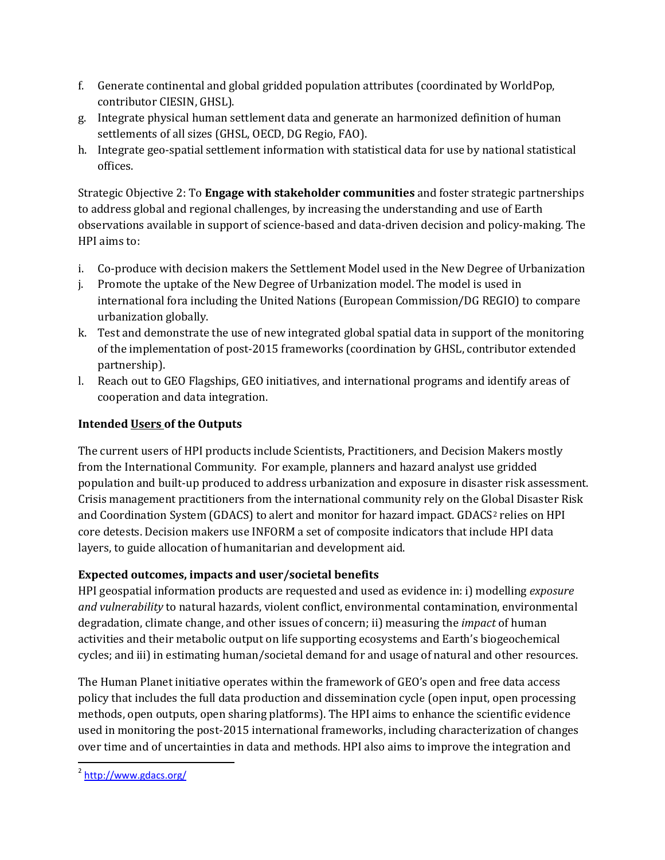- f. Generate continental and global gridded population attributes (coordinated by WorldPop, contributor CIESIN, GHSL).
- g. Integrate physical human settlement data and generate an harmonized definition of human settlements of all sizes (GHSL, OECD, DG Regio, FAO).
- h. Integrate geo-spatial settlement information with statistical data for use by national statistical offices.

Strategic Objective 2: To **Engage with stakeholder communities** and foster strategic partnerships to address global and regional challenges, by increasing the understanding and use of Earth observations available in support of science-based and data-driven decision and policy-making. The HPI aims to:

- i. Co-produce with decision makers the Settlement Model used in the New Degree of Urbanization
- j. Promote the uptake of the New Degree of Urbanization model. The model is used in international fora including the United Nations (European Commission/DG REGIO) to compare urbanization globally.
- k. Test and demonstrate the use of new integrated global spatial data in support of the monitoring of the implementation of post-2015 frameworks (coordination by GHSL, contributor extended partnership).
- l. Reach out to GEO Flagships, GEO initiatives, and international programs and identify areas of cooperation and data integration.

# **Intended Users of the Outputs**

The current users of HPI products include Scientists, Practitioners, and Decision Makers mostly from the International Community. For example, planners and hazard analyst use gridded population and built-up produced to address urbanization and exposure in disaster risk assessment. Crisis management practitioners from the international community rely on the Global Disaster Risk and Coordination System (GDACS) to alert and monitor for hazard impact. GDACS<sup>[2](#page-6-0)</sup> relies on HPI core detests. Decision makers use INFORM a set of composite indicators that include HPI data layers, to guide allocation of humanitarian and development aid.

# **Expected outcomes, impacts and user/societal benefits**

HPI geospatial information products are requested and used as evidence in: i) modelling *exposure and vulnerability* to natural hazards, violent conflict, environmental contamination, environmental degradation, climate change, and other issues of concern; ii) measuring the *impact* of human activities and their metabolic output on life supporting ecosystems and Earth's biogeochemical cycles; and iii) in estimating human/societal demand for and usage of natural and other resources.

The Human Planet initiative operates within the framework of GEO's open and free data access policy that includes the full data production and dissemination cycle (open input, open processing methods, open outputs, open sharing platforms). The HPI aims to enhance the scientific evidence used in monitoring the post-2015 international frameworks, including characterization of changes over time and of uncertainties in data and methods. HPI also aims to improve the integration and

<span id="page-6-0"></span> $2$  <http://www.gdacs.org/>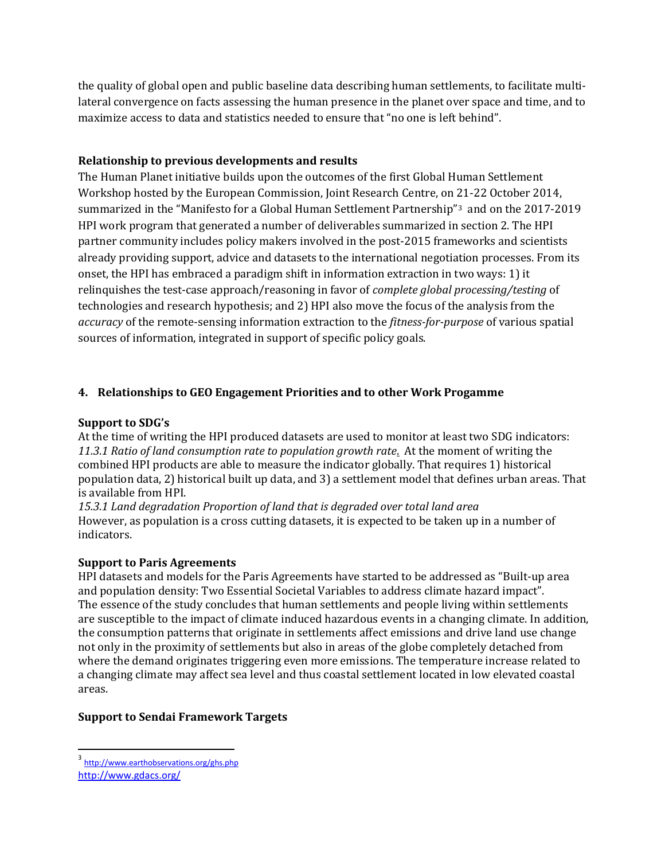the quality of global open and public baseline data describing human settlements, to facilitate multilateral convergence on facts assessing the human presence in the planet over space and time, and to maximize access to data and statistics needed to ensure that "no one is left behind".

#### **Relationship to previous developments and results**

The Human Planet initiative builds upon the outcomes of the first Global Human Settlement Workshop hosted by the European Commission, Joint Research Centre, on 21-22 October 2014, summarized in the "Manifesto for a Global Human Settlement Partnership"[3](#page-7-0) and on the 2017-2019 HPI work program that generated a number of deliverables summarized in section 2. The HPI partner community includes policy makers involved in the post-2015 frameworks and scientists already providing support, advice and datasets to the international negotiation processes. From its onset, the HPI has embraced a paradigm shift in information extraction in two ways: 1) it relinquishes the test-case approach/reasoning in favor of *complete global processing/testing* of technologies and research hypothesis; and 2) HPI also move the focus of the analysis from the *accuracy* of the remote-sensing information extraction to the *fitness-for-purpose* of various spatial sources of information, integrated in support of specific policy goals.

# **4. Relationships to GEO Engagement Priorities and to other Work Progamme**

#### **Support to SDG's**

At the time of writing the HPI produced datasets are used to monitor at least two SDG indicators: *11.3.1 Ratio of land consumption rate to population growth rate*. At the moment of writing the combined HPI products are able to measure the indicator globally. That requires 1) historical population data, 2) historical built up data, and 3) a settlement model that defines urban areas. That is available from HPI.

*15.3.1 Land degradation Proportion of land that is degraded over total land area* However, as population is a cross cutting datasets, it is expected to be taken up in a number of indicators.

#### **Support to Paris Agreements**

HPI datasets and models for the Paris Agreements have started to be addressed as "Built-up area and population density: Two Essential Societal Variables to address climate hazard impact". The essence of the study concludes that human settlements and people living within settlements are susceptible to the impact of climate induced hazardous events in a changing climate. In addition, the consumption patterns that originate in settlements affect emissions and drive land use change not only in the proximity of settlements but also in areas of the globe completely detached from where the demand originates triggering even more emissions. The temperature increase related to a changing climate may affect sea level and thus coastal settlement located in low elevated coastal areas.

# **Support to Sendai Framework Targets**

<span id="page-7-0"></span> <sup>3</sup> <http://www.earthobservations.org/ghs.php> <http://www.gdacs.org/>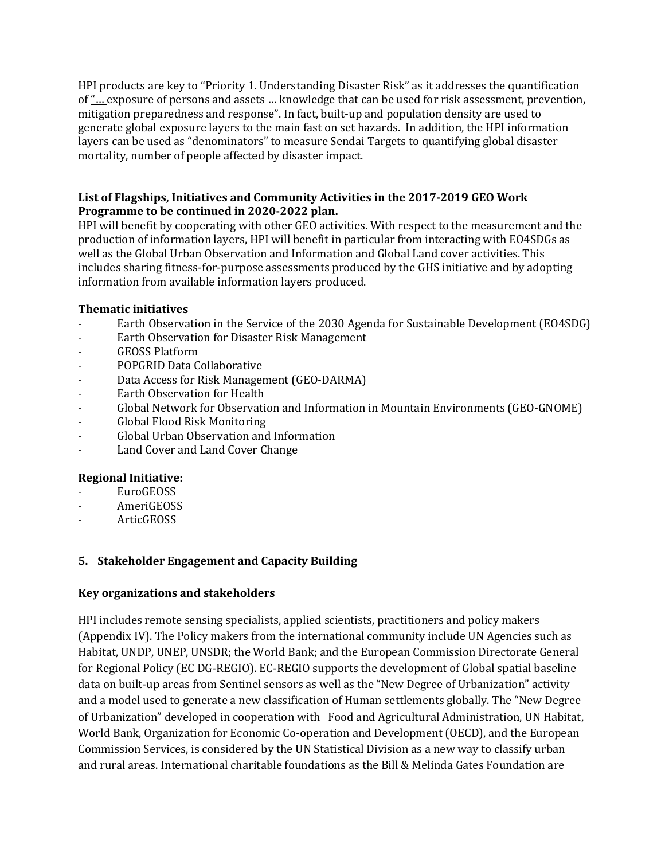HPI products are key to "Priority 1. Understanding Disaster Risk" as it addresses the quantification of "… exposure of persons and assets … knowledge that can be used for risk assessment, prevention, mitigation preparedness and response". In fact, built-up and population density are used to generate global exposure layers to the main fast on set hazards. In addition, the HPI information layers can be used as "denominators" to measure Sendai Targets to quantifying global disaster mortality, number of people affected by disaster impact.

#### **List of Flagships, Initiatives and Community Activities in the 2017-2019 GEO Work Programme to be continued in 2020-2022 plan.**

HPI will benefit by cooperating with other GEO activities. With respect to the measurement and the production of information layers, HPI will benefit in particular from interacting with EO4SDGs as well as the Global Urban Observation and Information and Global Land cover activities. This includes sharing fitness-for-purpose assessments produced by the GHS initiative and by adopting information from available information layers produced.

## **Thematic initiatives**

- Earth Observation in the Service of the 2030 Agenda for Sustainable Development (EO4SDG)
- Earth Observation for Disaster Risk Management
- GEOSS Platform
- POPGRID Data Collaborative
- Data Access for Risk Management (GEO-DARMA)
- Earth Observation for Health
- Global Network for Observation and Information in Mountain Environments (GEO-GNOME)
- Global Flood Risk Monitoring
- Global Urban Observation and Information
- Land Cover and Land Cover Change

#### **Regional Initiative:**

- EuroGEOSS
- AmeriGEOSS
- ArticGEOSS

# **5. Stakeholder Engagement and Capacity Building**

#### **Key organizations and stakeholders**

HPI includes remote sensing specialists, applied scientists, practitioners and policy makers (Appendix IV). The Policy makers from the international community include UN Agencies such as Habitat, UNDP, UNEP, UNSDR; the World Bank; and the European Commission Directorate General for Regional Policy (EC DG-REGIO). EC-REGIO supports the development of Global spatial baseline data on built-up areas from Sentinel sensors as well as the "New Degree of Urbanization" activity and a model used to generate a new classification of Human settlements globally. The "New Degree of Urbanization" developed in cooperation with Food and Agricultural Administration, UN Habitat, World Bank, Organization for Economic Co-operation and Development (OECD), and the European Commission Services, is considered by the UN Statistical Division as a new way to classify urban and rural areas. International charitable foundations as the Bill & Melinda Gates Foundation are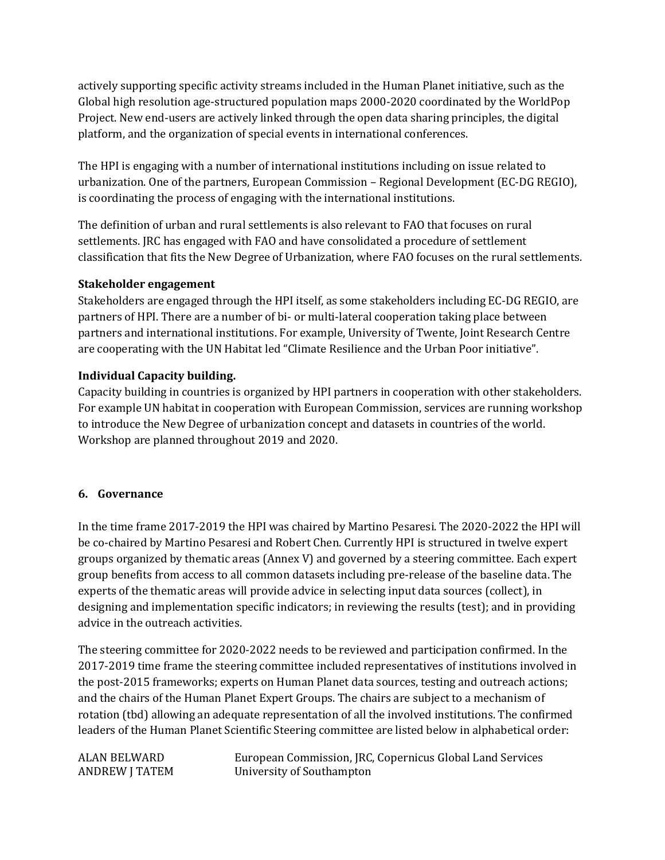actively supporting specific activity streams included in the Human Planet initiative, such as the Global high resolution age-structured population maps 2000-2020 coordinated by the WorldPop Project. New end-users are actively linked through the open data sharing principles, the digital platform, and the organization of special events in international conferences.

The HPI is engaging with a number of international institutions including on issue related to urbanization. One of the partners, European Commission – Regional Development (EC-DG REGIO), is coordinating the process of engaging with the international institutions.

The definition of urban and rural settlements is also relevant to FAO that focuses on rural settlements. JRC has engaged with FAO and have consolidated a procedure of settlement classification that fits the New Degree of Urbanization, where FAO focuses on the rural settlements.

## **Stakeholder engagement**

Stakeholders are engaged through the HPI itself, as some stakeholders including EC-DG REGIO, are partners of HPI. There are a number of bi- or multi-lateral cooperation taking place between partners and international institutions. For example, University of Twente, Joint Research Centre are cooperating with the UN Habitat led "Climate Resilience and the Urban Poor initiative".

# **Individual Capacity building.**

Capacity building in countries is organized by HPI partners in cooperation with other stakeholders. For example UN habitat in cooperation with European Commission, services are running workshop to introduce the New Degree of urbanization concept and datasets in countries of the world. Workshop are planned throughout 2019 and 2020.

#### **6. Governance**

In the time frame 2017-2019 the HPI was chaired by Martino Pesaresi. The 2020-2022 the HPI will be co-chaired by Martino Pesaresi and Robert Chen. Currently HPI is structured in twelve expert groups organized by thematic areas (Annex V) and governed by a steering committee. Each expert group benefits from access to all common datasets including pre-release of the baseline data. The experts of the thematic areas will provide advice in selecting input data sources (collect), in designing and implementation specific indicators; in reviewing the results (test); and in providing advice in the outreach activities.

The steering committee for 2020-2022 needs to be reviewed and participation confirmed. In the 2017-2019 time frame the steering committee included representatives of institutions involved in the post-2015 frameworks; experts on Human Planet data sources, testing and outreach actions; and the chairs of the Human Planet Expert Groups. The chairs are subject to a mechanism of rotation (tbd) allowing an adequate representation of all the involved institutions. The confirmed leaders of the Human Planet Scientific Steering committee are listed below in alphabetical order:

ALAN BELWARD European Commission, JRC, Copernicus Global Land Services<br>ANDREW J TATEM University of Southampton University of Southampton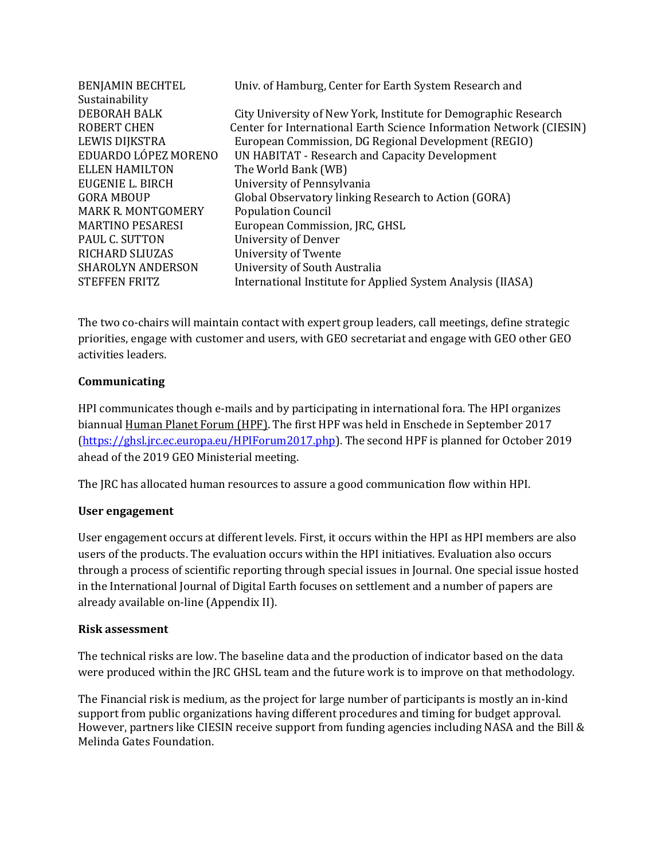| <b>BENJAMIN BECHTEL</b>   | Univ. of Hamburg, Center for Earth System Research and              |
|---------------------------|---------------------------------------------------------------------|
| Sustainability            |                                                                     |
| <b>DEBORAH BALK</b>       | City University of New York, Institute for Demographic Research     |
| <b>ROBERT CHEN</b>        | Center for International Earth Science Information Network (CIESIN) |
| LEWIS DIJKSTRA            | European Commission, DG Regional Development (REGIO)                |
| EDUARDO LÓPEZ MORENO      | UN HABITAT - Research and Capacity Development                      |
| <b>ELLEN HAMILTON</b>     | The World Bank (WB)                                                 |
| EUGENIE L. BIRCH          | University of Pennsylvania                                          |
| <b>GORA MBOUP</b>         | Global Observatory linking Research to Action (GORA)                |
| <b>MARK R. MONTGOMERY</b> | <b>Population Council</b>                                           |
| <b>MARTINO PESARESI</b>   | European Commission, JRC, GHSL                                      |
| PAUL C. SUTTON            | University of Denver                                                |
| <b>RICHARD SLIUZAS</b>    | University of Twente                                                |
| <b>SHAROLYN ANDERSON</b>  | University of South Australia                                       |
| <b>STEFFEN FRITZ</b>      | International Institute for Applied System Analysis (IIASA)         |
|                           |                                                                     |

The two co-chairs will maintain contact with expert group leaders, call meetings, define strategic priorities, engage with customer and users, with GEO secretariat and engage with GEO other GEO activities leaders.

## **Communicating**

HPI communicates though e-mails and by participating in international fora. The HPI organizes biannual Human Planet Forum (HPF). The first HPF was held in Enschede in September 2017 [\(https://ghsl.jrc.ec.europa.eu/HPIForum2017.php\)](https://ghsl.jrc.ec.europa.eu/HPIForum2017.php). The second HPF is planned for October 2019 ahead of the 2019 GEO Ministerial meeting.

The JRC has allocated human resources to assure a good communication flow within HPI.

#### **User engagement**

User engagement occurs at different levels. First, it occurs within the HPI as HPI members are also users of the products. The evaluation occurs within the HPI initiatives. Evaluation also occurs through a process of scientific reporting through special issues in Journal. One special issue hosted in the International Journal of Digital Earth focuses on settlement and a number of papers are already available on-line (Appendix II).

#### **Risk assessment**

The technical risks are low. The baseline data and the production of indicator based on the data were produced within the JRC GHSL team and the future work is to improve on that methodology.

The Financial risk is medium, as the project for large number of participants is mostly an in-kind support from public organizations having different procedures and timing for budget approval. However, partners like CIESIN receive support from funding agencies including NASA and the Bill & Melinda Gates Foundation.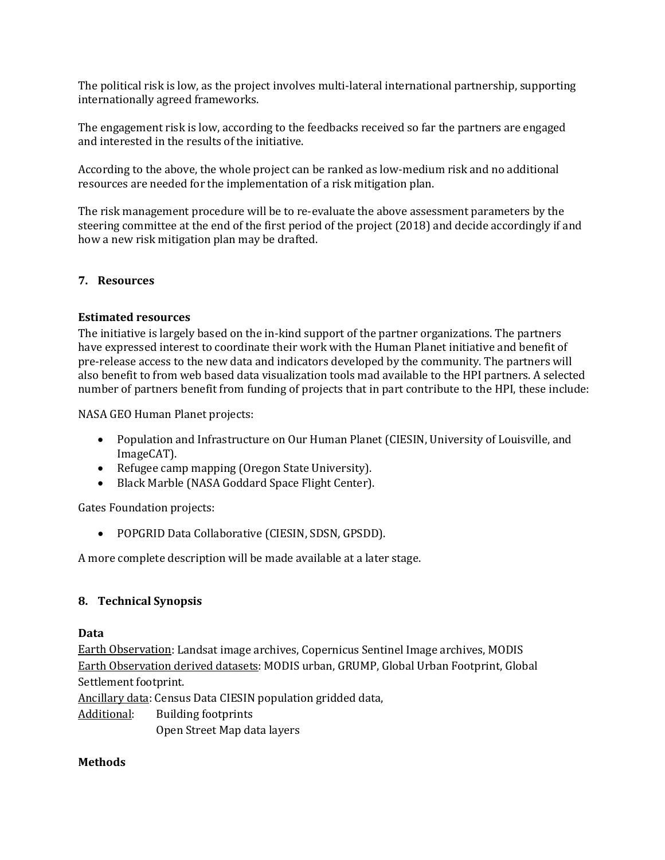The political risk is low, as the project involves multi-lateral international partnership, supporting internationally agreed frameworks.

The engagement risk is low, according to the feedbacks received so far the partners are engaged and interested in the results of the initiative.

According to the above, the whole project can be ranked as low-medium risk and no additional resources are needed for the implementation of a risk mitigation plan.

The risk management procedure will be to re-evaluate the above assessment parameters by the steering committee at the end of the first period of the project (2018) and decide accordingly if and how a new risk mitigation plan may be drafted.

#### **7. Resources**

#### **Estimated resources**

The initiative is largely based on the in-kind support of the partner organizations. The partners have expressed interest to coordinate their work with the Human Planet initiative and benefit of pre-release access to the new data and indicators developed by the community. The partners will also benefit to from web based data visualization tools mad available to the HPI partners. A selected number of partners benefit from funding of projects that in part contribute to the HPI, these include:

NASA GEO Human Planet projects:

- Population and Infrastructure on Our Human Planet (CIESIN, University of Louisville, and ImageCAT).
- Refugee camp mapping (Oregon State University).
- Black Marble (NASA Goddard Space Flight Center).

Gates Foundation projects:

• POPGRID Data Collaborative (CIESIN, SDSN, GPSDD).

A more complete description will be made available at a later stage.

#### **8. Technical Synopsis**

#### **Data**

Earth Observation: Landsat image archives, Copernicus Sentinel Image archives, MODIS Earth Observation derived datasets: MODIS urban, GRUMP, Global Urban Footprint, Global Settlement footprint.

Ancillary data: Census Data CIESIN population gridded data,

Additional: Building footprints

Open Street Map data layers

#### **Methods**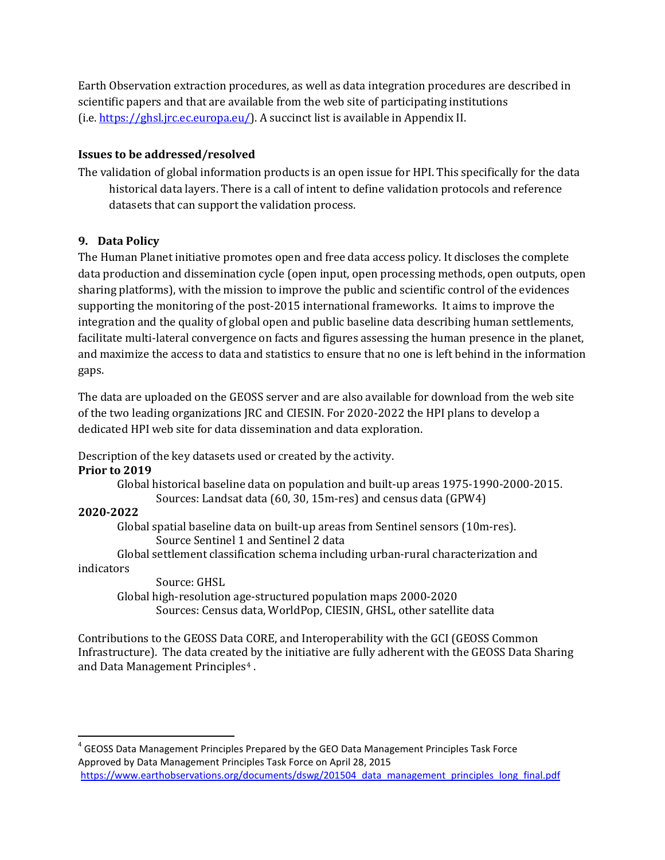Earth Observation extraction procedures, as well as data integration procedures are described in scientific papers and that are available from the web site of participating institutions (i.e[. https://ghsl.jrc.ec.europa.eu/\)](https://ghsl.jrc.ec.europa.eu/). A succinct list is available in Appendix II.

#### **Issues to be addressed/resolved**

The validation of global information products is an open issue for HPI. This specifically for the data historical data layers. There is a call of intent to define validation protocols and reference datasets that can support the validation process.

# **9. Data Policy**

The Human Planet initiative promotes open and free data access policy. It discloses the complete data production and dissemination cycle (open input, open processing methods, open outputs, open sharing platforms), with the mission to improve the public and scientific control of the evidences supporting the monitoring of the post-2015 international frameworks. It aims to improve the integration and the quality of global open and public baseline data describing human settlements, facilitate multi-lateral convergence on facts and figures assessing the human presence in the planet, and maximize the access to data and statistics to ensure that no one is left behind in the information gaps.

The data are uploaded on the GEOSS server and are also available for download from the web site of the two leading organizations JRC and CIESIN. For 2020-2022 the HPI plans to develop a dedicated HPI web site for data dissemination and data exploration.

Description of the key datasets used or created by the activity.

# **Prior to 2019**

Global historical baseline data on population and built-up areas 1975-1990-2000-2015. Sources: Landsat data (60, 30, 15m-res) and census data (GPW4)

# **2020-2022**

Global spatial baseline data on built-up areas from Sentinel sensors (10m-res). Source Sentinel 1 and Sentinel 2 data

Global settlement classification schema including urban-rural characterization and indicators

Source: GHSL Global high-resolution age-structured population maps 2000-2020 Sources: Census data, WorldPop, CIESIN, GHSL, other satellite data

Contributions to the GEOSS Data CORE, and Interoperability with the GCI (GEOSS Common Infrastructure). The data created by the initiative are fully adherent with the GEOSS Data Sharing and Data Management Principles<sup>[4](#page-12-0)</sup>.

<span id="page-12-0"></span> $4$  GEOSS Data Management Principles Prepared by the GEO Data Management Principles Task Force Approved by Data Management Principles Task Force on April 28, 2015 [https://www.earthobservations.org/documents/dswg/201504\\_data\\_management\\_principles\\_long\\_final.pdf](https://www.earthobservations.org/documents/dswg/201504_data_management_principles_long_final.pdf)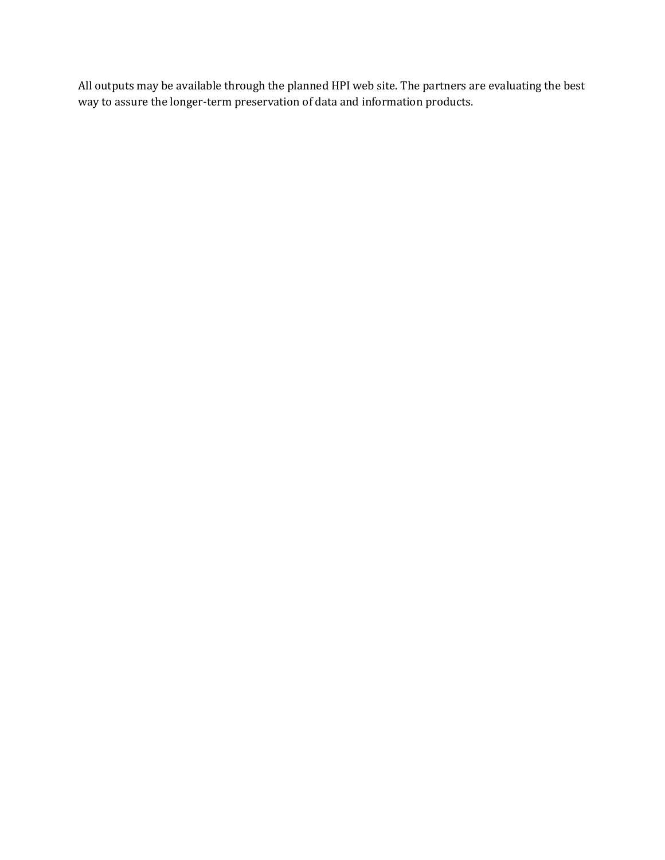All outputs may be available through the planned HPI web site. The partners are evaluating the best way to assure the longer-term preservation of data and information products.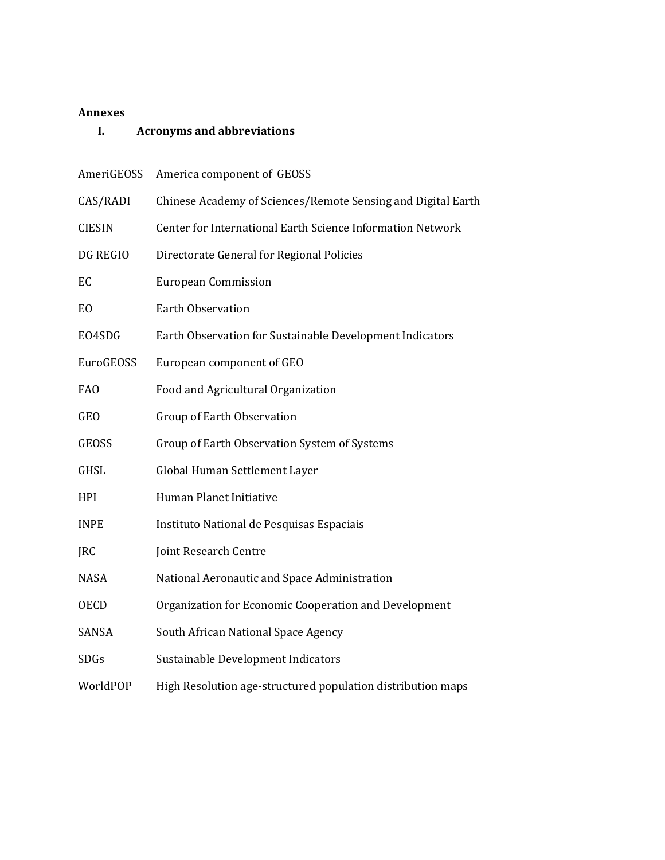#### **Annexes**

# **I. Acronyms and abbreviations**

| AmeriGEOSS      | America component of GEOSS                                   |  |
|-----------------|--------------------------------------------------------------|--|
| CAS/RADI        | Chinese Academy of Sciences/Remote Sensing and Digital Earth |  |
| <b>CIESIN</b>   | Center for International Earth Science Information Network   |  |
| DG REGIO        | Directorate General for Regional Policies                    |  |
| EC              | <b>European Commission</b>                                   |  |
| E <sub>O</sub>  | <b>Earth Observation</b>                                     |  |
| EO4SDG          | Earth Observation for Sustainable Development Indicators     |  |
| EuroGEOSS       | European component of GEO                                    |  |
| FA <sub>0</sub> | Food and Agricultural Organization                           |  |
| <b>GEO</b>      | <b>Group of Earth Observation</b>                            |  |
| <b>GEOSS</b>    | Group of Earth Observation System of Systems                 |  |
| <b>GHSL</b>     | Global Human Settlement Layer                                |  |
| <b>HPI</b>      | Human Planet Initiative                                      |  |
| <b>INPE</b>     | Instituto National de Pesquisas Espaciais                    |  |
| <b>JRC</b>      | Joint Research Centre                                        |  |
| <b>NASA</b>     | National Aeronautic and Space Administration                 |  |
| <b>OECD</b>     | Organization for Economic Cooperation and Development        |  |
| <b>SANSA</b>    | South African National Space Agency                          |  |
| <b>SDGs</b>     | Sustainable Development Indicators                           |  |
| WorldPOP        | High Resolution age-structured population distribution maps  |  |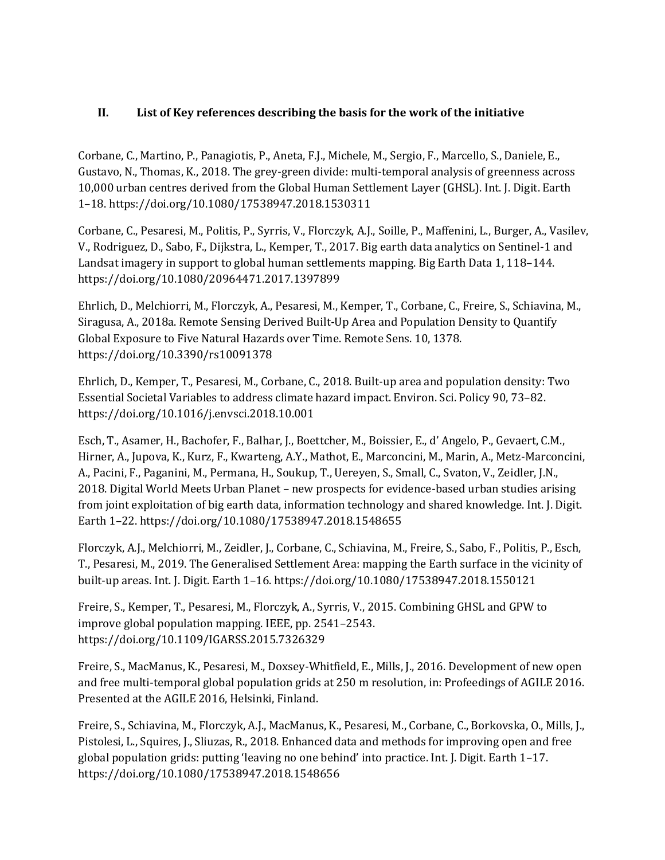## **II. List of Key references describing the basis for the work of the initiative**

Corbane, C., Martino, P., Panagiotis, P., Aneta, F.J., Michele, M., Sergio, F., Marcello, S., Daniele, E., Gustavo, N., Thomas, K., 2018. The grey-green divide: multi-temporal analysis of greenness across 10,000 urban centres derived from the Global Human Settlement Layer (GHSL). Int. J. Digit. Earth 1–18. https://doi.org/10.1080/17538947.2018.1530311

Corbane, C., Pesaresi, M., Politis, P., Syrris, V., Florczyk, A.J., Soille, P., Maffenini, L., Burger, A., Vasilev, V., Rodriguez, D., Sabo, F., Dijkstra, L., Kemper, T., 2017. Big earth data analytics on Sentinel-1 and Landsat imagery in support to global human settlements mapping. Big Earth Data 1, 118–144. https://doi.org/10.1080/20964471.2017.1397899

Ehrlich, D., Melchiorri, M., Florczyk, A., Pesaresi, M., Kemper, T., Corbane, C., Freire, S., Schiavina, M., Siragusa, A., 2018a. Remote Sensing Derived Built-Up Area and Population Density to Quantify Global Exposure to Five Natural Hazards over Time. Remote Sens. 10, 1378. https://doi.org/10.3390/rs10091378

Ehrlich, D., Kemper, T., Pesaresi, M., Corbane, C., 2018. Built-up area and population density: Two Essential Societal Variables to address climate hazard impact. Environ. Sci. Policy 90, 73–82. https://doi.org/10.1016/j.envsci.2018.10.001

Esch, T., Asamer, H., Bachofer, F., Balhar, J., Boettcher, M., Boissier, E., d' Angelo, P., Gevaert, C.M., Hirner, A., Jupova, K., Kurz, F., Kwarteng, A.Y., Mathot, E., Marconcini, M., Marin, A., Metz-Marconcini, A., Pacini, F., Paganini, M., Permana, H., Soukup, T., Uereyen, S., Small, C., Svaton, V., Zeidler, J.N., 2018. Digital World Meets Urban Planet – new prospects for evidence-based urban studies arising from joint exploitation of big earth data, information technology and shared knowledge. Int. J. Digit. Earth 1–22. https://doi.org/10.1080/17538947.2018.1548655

Florczyk, A.J., Melchiorri, M., Zeidler, J., Corbane, C., Schiavina, M., Freire, S., Sabo, F., Politis, P., Esch, T., Pesaresi, M., 2019. The Generalised Settlement Area: mapping the Earth surface in the vicinity of built-up areas. Int. J. Digit. Earth 1–16. https://doi.org/10.1080/17538947.2018.1550121

Freire, S., Kemper, T., Pesaresi, M., Florczyk, A., Syrris, V., 2015. Combining GHSL and GPW to improve global population mapping. IEEE, pp. 2541–2543. https://doi.org/10.1109/IGARSS.2015.7326329

Freire, S., MacManus, K., Pesaresi, M., Doxsey-Whitfield, E., Mills, J., 2016. Development of new open and free multi-temporal global population grids at 250 m resolution, in: Profeedings of AGILE 2016. Presented at the AGILE 2016, Helsinki, Finland.

Freire, S., Schiavina, M., Florczyk, A.J., MacManus, K., Pesaresi, M., Corbane, C., Borkovska, O., Mills, J., Pistolesi, L., Squires, J., Sliuzas, R., 2018. Enhanced data and methods for improving open and free global population grids: putting 'leaving no one behind' into practice. Int. J. Digit. Earth 1–17. https://doi.org/10.1080/17538947.2018.1548656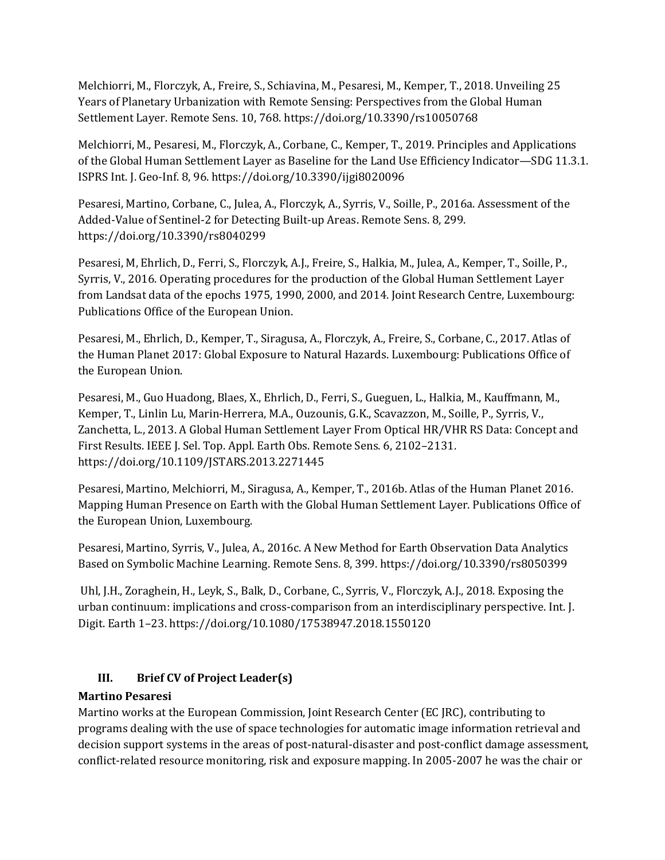Melchiorri, M., Florczyk, A., Freire, S., Schiavina, M., Pesaresi, M., Kemper, T., 2018. Unveiling 25 Years of Planetary Urbanization with Remote Sensing: Perspectives from the Global Human Settlement Layer. Remote Sens. 10, 768. https://doi.org/10.3390/rs10050768

Melchiorri, M., Pesaresi, M., Florczyk, A., Corbane, C., Kemper, T., 2019. Principles and Applications of the Global Human Settlement Layer as Baseline for the Land Use Efficiency Indicator—SDG 11.3.1. ISPRS Int. J. Geo-Inf. 8, 96. https://doi.org/10.3390/ijgi8020096

Pesaresi, Martino, Corbane, C., Julea, A., Florczyk, A., Syrris, V., Soille, P., 2016a. Assessment of the Added-Value of Sentinel-2 for Detecting Built-up Areas. Remote Sens. 8, 299. https://doi.org/10.3390/rs8040299

Pesaresi, M, Ehrlich, D., Ferri, S., Florczyk, A.J., Freire, S., Halkia, M., Julea, A., Kemper, T., Soille, P., Syrris, V., 2016. Operating procedures for the production of the Global Human Settlement Layer from Landsat data of the epochs 1975, 1990, 2000, and 2014. Joint Research Centre, Luxembourg: Publications Office of the European Union.

Pesaresi, M., Ehrlich, D., Kemper, T., Siragusa, A., Florczyk, A., Freire, S., Corbane, C., 2017. Atlas of the Human Planet 2017: Global Exposure to Natural Hazards. Luxembourg: Publications Office of the European Union.

Pesaresi, M., Guo Huadong, Blaes, X., Ehrlich, D., Ferri, S., Gueguen, L., Halkia, M., Kauffmann, M., Kemper, T., Linlin Lu, Marin-Herrera, M.A., Ouzounis, G.K., Scavazzon, M., Soille, P., Syrris, V., Zanchetta, L., 2013. A Global Human Settlement Layer From Optical HR/VHR RS Data: Concept and First Results. IEEE J. Sel. Top. Appl. Earth Obs. Remote Sens. 6, 2102–2131. https://doi.org/10.1109/JSTARS.2013.2271445

Pesaresi, Martino, Melchiorri, M., Siragusa, A., Kemper, T., 2016b. Atlas of the Human Planet 2016. Mapping Human Presence on Earth with the Global Human Settlement Layer. Publications Office of the European Union, Luxembourg.

Pesaresi, Martino, Syrris, V., Julea, A., 2016c. A New Method for Earth Observation Data Analytics Based on Symbolic Machine Learning. Remote Sens. 8, 399. https://doi.org/10.3390/rs8050399

Uhl, J.H., Zoraghein, H., Leyk, S., Balk, D., Corbane, C., Syrris, V., Florczyk, A.J., 2018. Exposing the urban continuum: implications and cross-comparison from an interdisciplinary perspective. Int. J. Digit. Earth 1–23. https://doi.org/10.1080/17538947.2018.1550120

# **III. Brief CV of Project Leader(s)**

# **Martino Pesaresi**

Martino works at the European Commission, Joint Research Center (EC JRC), contributing to programs dealing with the use of space technologies for automatic image information retrieval and decision support systems in the areas of post-natural-disaster and post-conflict damage assessment, conflict-related resource monitoring, risk and exposure mapping. In 2005-2007 he was the chair or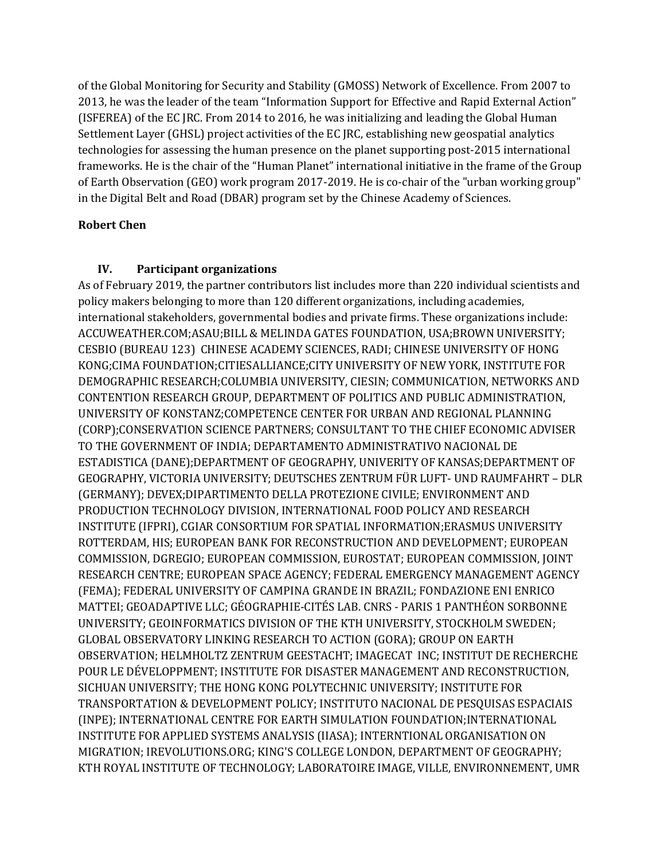of the Global Monitoring for Security and Stability (GMOSS) Network of Excellence. From 2007 to 2013, he was the leader of the team "Information Support for Effective and Rapid External Action" (ISFEREA) of the EC JRC. From 2014 to 2016, he was initializing and leading the Global Human Settlement Layer (GHSL) project activities of the EC JRC, establishing new geospatial analytics technologies for assessing the human presence on the planet supporting post-2015 international frameworks. He is the chair of the "Human Planet" international initiative in the frame of the Group of Earth Observation (GEO) work program 2017-2019. He is co-chair of the "urban working group" in the Digital Belt and Road (DBAR) program set by the Chinese Academy of Sciences.

# **Robert Chen**

# **IV. Participant organizations**

As of February 2019, the partner contributors list includes more than 220 individual scientists and policy makers belonging to more than 120 different organizations, including academies, international stakeholders, governmental bodies and private firms. These organizations include: ACCUWEATHER.COM;ASAU;BILL & MELINDA GATES FOUNDATION, USA;BROWN UNIVERSITY; CESBIO (BUREAU 123) CHINESE ACADEMY SCIENCES, RADI; CHINESE UNIVERSITY OF HONG KONG;CIMA FOUNDATION;CITIESALLIANCE;CITY UNIVERSITY OF NEW YORK, INSTITUTE FOR DEMOGRAPHIC RESEARCH;COLUMBIA UNIVERSITY, CIESIN; COMMUNICATION, NETWORKS AND CONTENTION RESEARCH GROUP, DEPARTMENT OF POLITICS AND PUBLIC ADMINISTRATION, UNIVERSITY OF KONSTANZ;COMPETENCE CENTER FOR URBAN AND REGIONAL PLANNING (CORP);CONSERVATION SCIENCE PARTNERS; CONSULTANT TO THE CHIEF ECONOMIC ADVISER TO THE GOVERNMENT OF INDIA; DEPARTAMENTO ADMINISTRATIVO NACIONAL DE ESTADISTICA (DANE);DEPARTMENT OF GEOGRAPHY, UNIVERITY OF KANSAS;DEPARTMENT OF GEOGRAPHY, VICTORIA UNIVERSITY; DEUTSCHES ZENTRUM FÜR LUFT- UND RAUMFAHRT – DLR (GERMANY); DEVEX;DIPARTIMENTO DELLA PROTEZIONE CIVILE; ENVIRONMENT AND PRODUCTION TECHNOLOGY DIVISION, INTERNATIONAL FOOD POLICY AND RESEARCH INSTITUTE (IFPRI), CGIAR CONSORTIUM FOR SPATIAL INFORMATION;ERASMUS UNIVERSITY ROTTERDAM, HIS; EUROPEAN BANK FOR RECONSTRUCTION AND DEVELOPMENT; EUROPEAN COMMISSION, DGREGIO; EUROPEAN COMMISSION, EUROSTAT; EUROPEAN COMMISSION, JOINT RESEARCH CENTRE; EUROPEAN SPACE AGENCY; FEDERAL EMERGENCY MANAGEMENT AGENCY (FEMA); FEDERAL UNIVERSITY OF CAMPINA GRANDE IN BRAZIL; FONDAZIONE ENI ENRICO MATTEI; GEOADAPTIVE LLC; GÉOGRAPHIE-CITÉS LAB. CNRS - PARIS 1 PANTHÉON SORBONNE UNIVERSITY; GEOINFORMATICS DIVISION OF THE KTH UNIVERSITY, STOCKHOLM SWEDEN; GLOBAL OBSERVATORY LINKING RESEARCH TO ACTION (GORA); GROUP ON EARTH OBSERVATION; HELMHOLTZ ZENTRUM GEESTACHT; IMAGECAT INC; INSTITUT DE RECHERCHE POUR LE DÉVELOPPMENT; INSTITUTE FOR DISASTER MANAGEMENT AND RECONSTRUCTION, SICHUAN UNIVERSITY; THE HONG KONG POLYTECHNIC UNIVERSITY; INSTITUTE FOR TRANSPORTATION & DEVELOPMENT POLICY; INSTITUTO NACIONAL DE PESQUISAS ESPACIAIS (INPE); INTERNATIONAL CENTRE FOR EARTH SIMULATION FOUNDATION;INTERNATIONAL INSTITUTE FOR APPLIED SYSTEMS ANALYSIS (IIASA); INTERNTIONAL ORGANISATION ON MIGRATION; IREVOLUTIONS.ORG; KING'S COLLEGE LONDON, DEPARTMENT OF GEOGRAPHY; KTH ROYAL INSTITUTE OF TECHNOLOGY; LABORATOIRE IMAGE, VILLE, ENVIRONNEMENT, UMR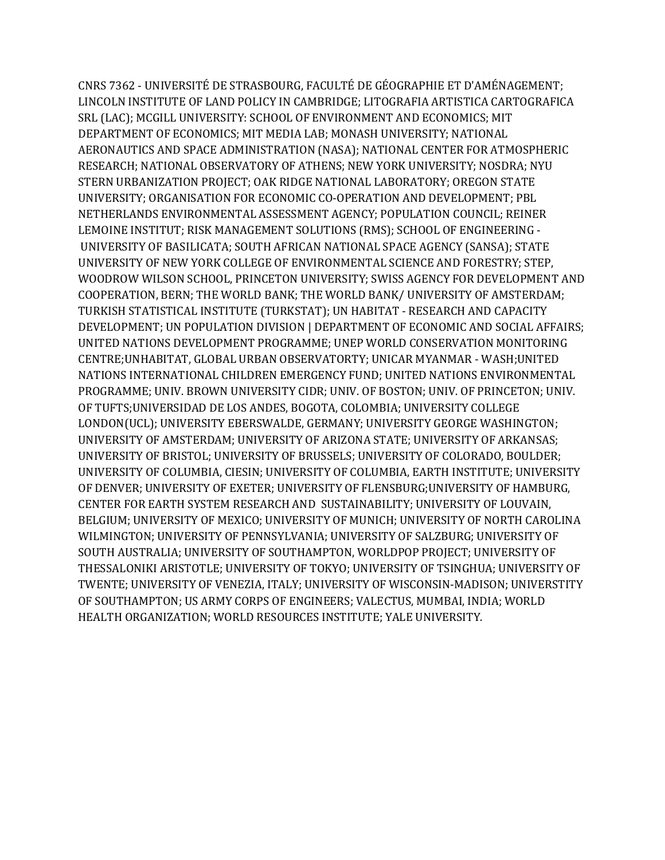CNRS 7362 - UNIVERSITÉ DE STRASBOURG, FACULTÉ DE GÉOGRAPHIE ET D'AMÉNAGEMENT; LINCOLN INSTITUTE OF LAND POLICY IN CAMBRIDGE; LITOGRAFIA ARTISTICA CARTOGRAFICA SRL (LAC); MCGILL UNIVERSITY: SCHOOL OF ENVIRONMENT AND ECONOMICS; MIT DEPARTMENT OF ECONOMICS; MIT MEDIA LAB; MONASH UNIVERSITY; NATIONAL AERONAUTICS AND SPACE ADMINISTRATION (NASA); NATIONAL CENTER FOR ATMOSPHERIC RESEARCH; NATIONAL OBSERVATORY OF ATHENS; NEW YORK UNIVERSITY; NOSDRA; NYU STERN URBANIZATION PROJECT; OAK RIDGE NATIONAL LABORATORY; OREGON STATE UNIVERSITY; ORGANISATION FOR ECONOMIC CO-OPERATION AND DEVELOPMENT; PBL NETHERLANDS ENVIRONMENTAL ASSESSMENT AGENCY; POPULATION COUNCIL; REINER LEMOINE INSTITUT; RISK MANAGEMENT SOLUTIONS (RMS); SCHOOL OF ENGINEERING - UNIVERSITY OF BASILICATA; SOUTH AFRICAN NATIONAL SPACE AGENCY (SANSA); STATE UNIVERSITY OF NEW YORK COLLEGE OF ENVIRONMENTAL SCIENCE AND FORESTRY; STEP, WOODROW WILSON SCHOOL, PRINCETON UNIVERSITY; SWISS AGENCY FOR DEVELOPMENT AND COOPERATION, BERN; THE WORLD BANK; THE WORLD BANK/ UNIVERSITY OF AMSTERDAM; TURKISH STATISTICAL INSTITUTE (TURKSTAT); UN HABITAT - RESEARCH AND CAPACITY DEVELOPMENT; UN POPULATION DIVISION | DEPARTMENT OF ECONOMIC AND SOCIAL AFFAIRS; UNITED NATIONS DEVELOPMENT PROGRAMME; UNEP WORLD CONSERVATION MONITORING CENTRE;UNHABITAT, GLOBAL URBAN OBSERVATORTY; UNICAR MYANMAR - WASH;UNITED NATIONS INTERNATIONAL CHILDREN EMERGENCY FUND; UNITED NATIONS ENVIRONMENTAL PROGRAMME; UNIV. BROWN UNIVERSITY CIDR; UNIV. OF BOSTON; UNIV. OF PRINCETON; UNIV. OF TUFTS;UNIVERSIDAD DE LOS ANDES, BOGOTA, COLOMBIA; UNIVERSITY COLLEGE LONDON(UCL); UNIVERSITY EBERSWALDE, GERMANY; UNIVERSITY GEORGE WASHINGTON; UNIVERSITY OF AMSTERDAM; UNIVERSITY OF ARIZONA STATE; UNIVERSITY OF ARKANSAS; UNIVERSITY OF BRISTOL; UNIVERSITY OF BRUSSELS; UNIVERSITY OF COLORADO, BOULDER; UNIVERSITY OF COLUMBIA, CIESIN; UNIVERSITY OF COLUMBIA, EARTH INSTITUTE; UNIVERSITY OF DENVER; UNIVERSITY OF EXETER; UNIVERSITY OF FLENSBURG;UNIVERSITY OF HAMBURG, CENTER FOR EARTH SYSTEM RESEARCH AND SUSTAINABILITY; UNIVERSITY OF LOUVAIN, BELGIUM; UNIVERSITY OF MEXICO; UNIVERSITY OF MUNICH; UNIVERSITY OF NORTH CAROLINA WILMINGTON; UNIVERSITY OF PENNSYLVANIA; UNIVERSITY OF SALZBURG; UNIVERSITY OF SOUTH AUSTRALIA; UNIVERSITY OF SOUTHAMPTON, WORLDPOP PROJECT; UNIVERSITY OF THESSALONIKI ARISTOTLE; UNIVERSITY OF TOKYO; UNIVERSITY OF TSINGHUA; UNIVERSITY OF TWENTE; UNIVERSITY OF VENEZIA, ITALY; UNIVERSITY OF WISCONSIN-MADISON; UNIVERSTITY OF SOUTHAMPTON; US ARMY CORPS OF ENGINEERS; VALECTUS, MUMBAI, INDIA; WORLD HEALTH ORGANIZATION; WORLD RESOURCES INSTITUTE; YALE UNIVERSITY.